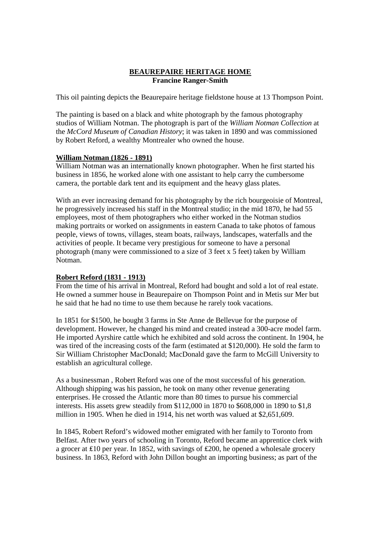# **BEAUREPAIRE HERITAGE HOME Francine Ranger-Smith**

This oil painting depicts the Beaurepaire heritage fieldstone house at 13 Thompson Point.

The painting is based on a black and white photograph by the famous photography studios of William Notman. The photograph is part of the *William Notman Collection* at the *McCord Museum of Canadian History*; it was taken in 1890 and was commissioned by Robert Reford, a wealthy Montrealer who owned the house.

## **William Notman (1826 - 1891)**

William Notman was an internationally known photographer. When he first started his business in 1856, he worked alone with one assistant to help carry the cumbersome camera, the portable dark tent and its equipment and the heavy glass plates.

With an ever increasing demand for his photography by the rich bourgeoisie of Montreal, he progressively increased his staff in the Montreal studio; in the mid 1870, he had 55 employees, most of them photographers who either worked in the Notman studios making portraits or worked on assignments in eastern Canada to take photos of famous people, views of towns, villages, steam boats, railways, landscapes, waterfalls and the activities of people. It became very prestigious for someone to have a personal photograph (many were commissioned to a size of 3 feet x 5 feet) taken by William Notman.

# **Robert Reford (1831 - 1913)**

From the time of his arrival in Montreal, Reford had bought and sold a lot of real estate. He owned a summer house in Beaurepaire on Thompson Point and in Metis sur Mer but he said that he had no time to use them because he rarely took vacations.

In 1851 for \$1500, he bought 3 farms in Ste Anne de Bellevue for the purpose of development. However, he changed his mind and created instead a 300-acre model farm. He imported Ayrshire cattle which he exhibited and sold across the continent. In 1904, he was tired of the increasing costs of the farm (estimated at \$120,000). He sold the farm to Sir William Christopher MacDonald; MacDonald gave the farm to McGill University to establish an agricultural college.

As a businessman , Robert Reford was one of the most successful of his generation. Although shipping was his passion, he took on many other revenue generating enterprises. He crossed the Atlantic more than 80 times to pursue his commercial interests. His assets grew steadily from \$112,000 in 1870 to \$608,000 in 1890 to \$1,8 million in 1905. When he died in 1914, his net worth was valued at \$2,651,609.

In 1845, Robert Reford's widowed mother emigrated with her family to Toronto from Belfast. After two years of schooling in Toronto, Reford became an apprentice clerk with a grocer at ₤10 per year. In 1852, with savings of ₤200, he opened a wholesale grocery business. In 1863, Reford with John Dillon bought an importing business; as part of the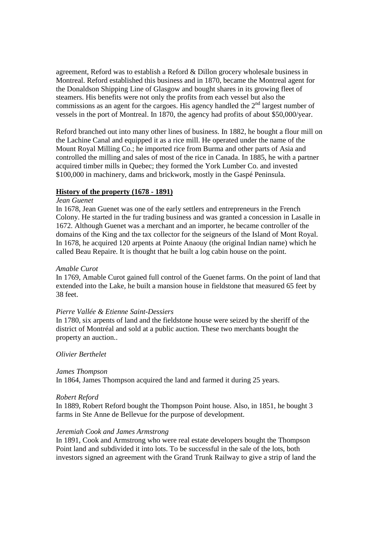agreement, Reford was to establish a Reford & Dillon grocery wholesale business in Montreal. Reford established this business and in 1870, became the Montreal agent for the Donaldson Shipping Line of Glasgow and bought shares in its growing fleet of steamers. His benefits were not only the profits from each vessel but also the commissions as an agent for the cargoes. His agency handled the  $2<sup>nd</sup>$  largest number of vessels in the port of Montreal. In 1870, the agency had profits of about \$50,000/year.

Reford branched out into many other lines of business. In 1882, he bought a flour mill on the Lachine Canal and equipped it as a rice mill. He operated under the name of the Mount Royal Milling Co.; he imported rice from Burma and other parts of Asia and controlled the milling and sales of most of the rice in Canada. In 1885, he with a partner acquired timber mills in Quebec; they formed the York Lumber Co. and invested \$100,000 in machinery, dams and brickwork, mostly in the Gaspé Peninsula.

## **History of the property (1678 - 1891)**

## *Jean Guenet*

In 1678, Jean Guenet was one of the early settlers and entrepreneurs in the French Colony. He started in the fur trading business and was granted a concession in Lasalle in 1672. Although Guenet was a merchant and an importer, he became controller of the domains of the King and the tax collector for the seigneurs of the Island of Mont Royal. In 1678, he acquired 120 arpents at Pointe Anaouy (the original Indian name) which he called Beau Repaire. It is thought that he built a log cabin house on the point.

### *Amable Curot*

In 1769, Amable Curot gained full control of the Guenet farms. On the point of land that extended into the Lake, he built a mansion house in fieldstone that measured 65 feet by 38 feet.

#### *Pierre Vallée & Etienne Saint-Dessiers*

In 1780, six arpents of land and the fieldstone house were seized by the sheriff of the district of Montréal and sold at a public auction. These two merchants bought the property an auction..

### *Olivier Berthelet*

### *James Thompson*

In 1864, James Thompson acquired the land and farmed it during 25 years.

#### *Robert Reford*

In 1889, Robert Reford bought the Thompson Point house. Also, in 1851, he bought 3 farms in Ste Anne de Bellevue for the purpose of development.

#### *Jeremiah Cook and James Armstrong*

In 1891, Cook and Armstrong who were real estate developers bought the Thompson Point land and subdivided it into lots. To be successful in the sale of the lots, both investors signed an agreement with the Grand Trunk Railway to give a strip of land the